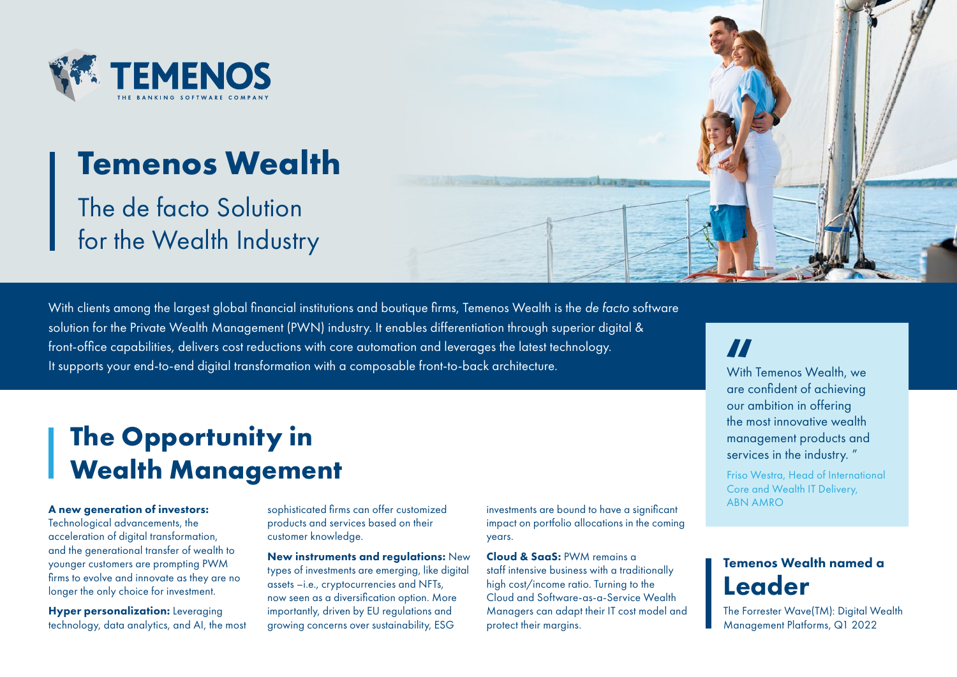

# **Temenos Wealth**

The de facto Solution for the Wealth Industry

With clients among the largest global financial institutions and boutique firms, Temenos Wealth is the *de facto* software solution for the Private Wealth Management (PWN) industry. It enables differentiation through superior digital & front-office capabilities, delivers cost reductions with core automation and leverages the latest technology. It supports your end-to-end digital transformation with a composable front-to-back architecture.

# **The Opportunity in Wealth Management**

#### A new generation of investors:

Technological advancements, the acceleration of digital transformation, and the generational transfer of wealth to younger customers are prompting PWM firms to evolve and innovate as they are no longer the only choice for investment.

**Hyper personalization:** Leveraging technology, data analytics, and AI, the most products and services based on their customer knowledge.

New instruments and regulations: New types of investments are emerging, like digital assets –i.e., cryptocurrencies and NFTs, now seen as a diversification option. More importantly, driven by EU regulations and growing concerns over sustainability, ESG

ABN AMRO sophisticated firms can offer customized investments are bound to have a significant impact on portfolio allocations in the coming years.

> Cloud & SaaS: PWM remains a staff intensive business with a traditionally high cost/income ratio. Turning to the Cloud and Software-as-a-Service Wealth Managers can adapt their IT cost model and protect their margins.

### H

With Temenos Wealth, we are confident of achieving our ambition in offering the most innovative wealth management products and services in the industry. "

Friso Westra, Head of International Core and Wealth IT Delivery,

### Temenos Wealth named a Leader

The Forrester Wave(TM): Digital Wealth Management Platforms, Q1 2022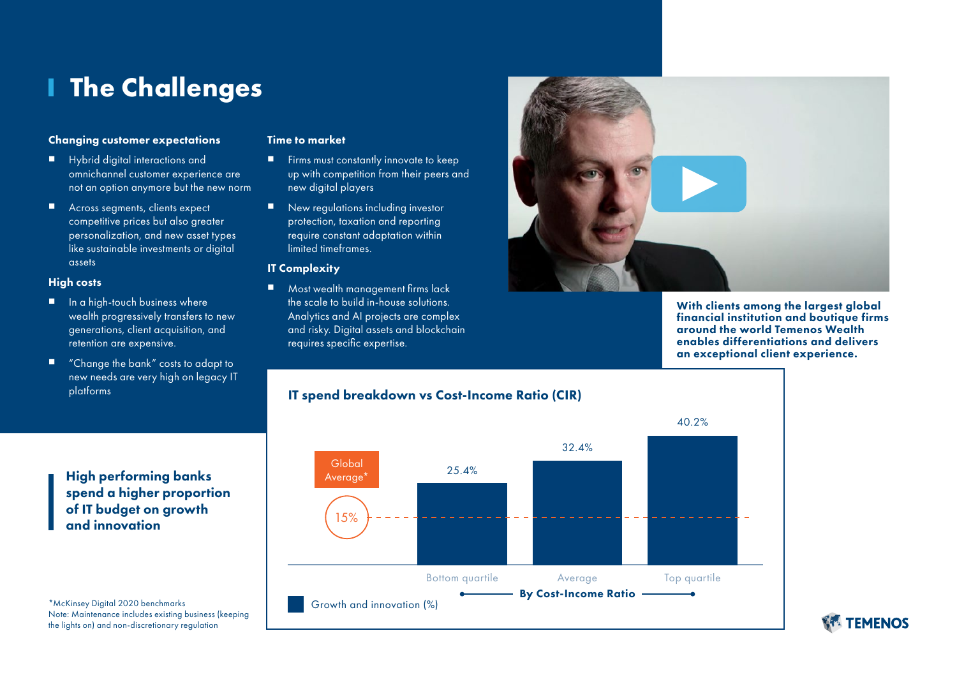# **The Challenges**

### Changing customer expectations

- Hybrid digital interactions and omnichannel customer experience are not an option anymore but the new norm
- Across segments, clients expect competitive prices but also greater personalization, and new asset types like sustainable investments or digital assets

#### High costs

- In a high-touch business where wealth progressively transfers to new generations, client acquisition, and retention are expensive.
- "Change the bank" costs to adapt to new needs are very high on legacy IT platforms

#### Time to market

- Firms must constantly innovate to keep up with competition from their peers and new digital players
- New regulations including investor protection, taxation and reporting require constant adaptation within limited timeframes.

### IT Complexity

■ Most wealth management firms lack the scale to build in-house solutions. Analytics and AI projects are complex and risky. Digital assets and blockchain requires specific expertise.



With clients among the largest global financial institution and boutique firms around the world Temenos Wealth enables differentiations and delivers an exceptional client experience.



### High performing banks spend a higher proportion of IT budget on growth and innovation

\*McKinsey Digital 2020 benchmarks Note: Maintenance includes existing business (keeping the lights on) and non-discretionary regulation

**WE TEMENOS**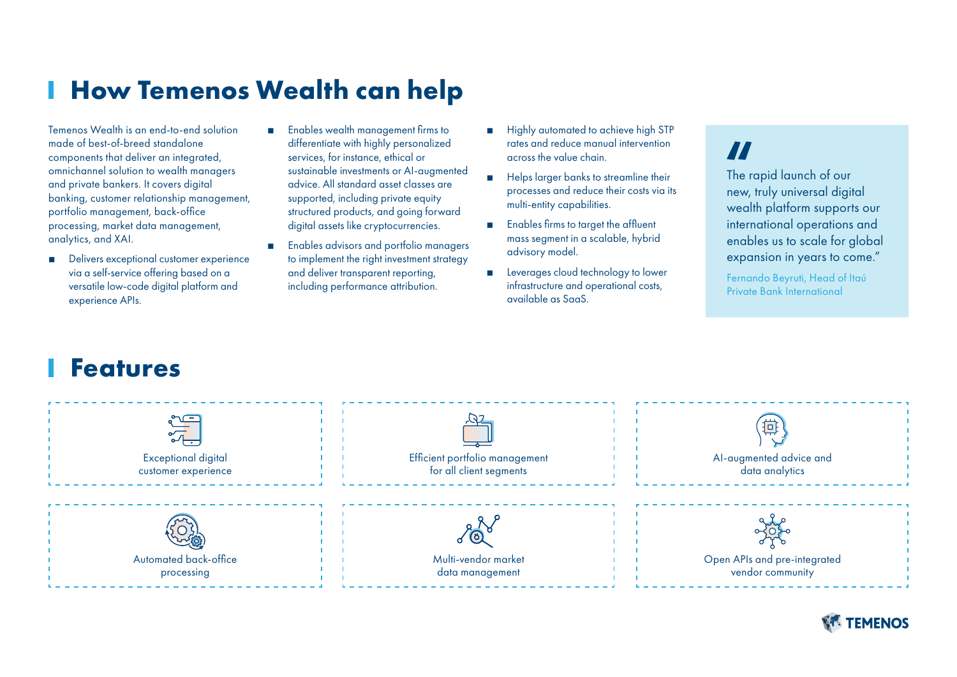# **How Temenos Wealth can help**

Temenos Wealth is an end-to-end solution made of best-of-breed standalone components that deliver an integrated, omnichannel solution to wealth managers and private bankers. It covers digital banking, customer relationship management, portfolio management, back-office processing, market data management, analytics, and XAI.

- Delivers exceptional customer experience via a self-service offering based on a versatile low-code digital platform and experience APIs.
- Enables wealth management firms to differentiate with highly personalized services, for instance, ethical or sustainable investments or AI-augmented advice. All standard asset classes are supported, including private equity structured products, and going forward digital assets like cryptocurrencies.
- Enables advisors and portfolio managers to implement the right investment strategy and deliver transparent reporting, including performance attribution.
- Highly automated to achieve high STP rates and reduce manual intervention across the value chain.
- Helps larger banks to streamline their processes and reduce their costs via its multi-entity capabilities.
- Enables firms to target the affluent mass segment in a scalable, hybrid advisory model.
- Leverages cloud technology to lower infrastructure and operational costs, available as SaaS.

## Ħ

The rapid launch of our new, truly universal digital wealth platform supports our international operations and enables us to scale for global expansion in years to come."

Fernando Beyruti, Head of Itaú Private Bank International

### **Features**

| $\frac{1}{2}$<br><b>Exceptional digital</b><br>customer experience | Efficient portfolio management<br>for all client segments | 搏<br>Al-augmented advice and<br>data analytics   |
|--------------------------------------------------------------------|-----------------------------------------------------------|--------------------------------------------------|
| Automated back-office<br>processing                                | <u> ଏ (୦)</u><br>Multi-vendor market<br>data management   | Open APIs and pre-integrated<br>vendor community |